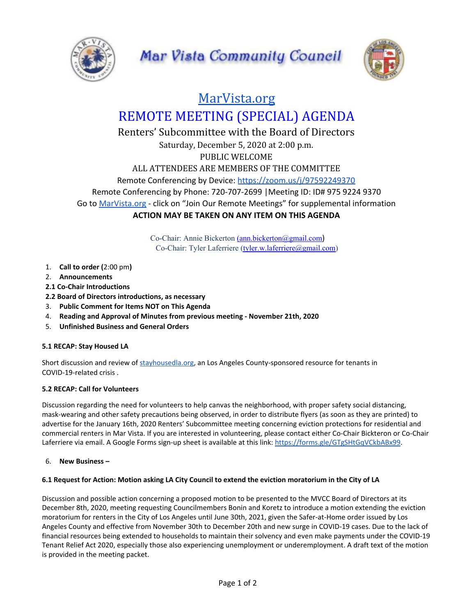



# [MarVista.org](https://www.marvista.org/)

## REMOTE MEETING (SPECIAL) AGENDA

### Renters' Subcommittee with the Board of Directors Saturday, December 5, 2020 at 2:00 p.m. PUBLIC WELCOME ALL ATTENDEES ARE MEMBERS OF THE COMMITTEE Remote Conferencing by Device: <https://zoom.us/j/97592249370> Remote Conferencing by Phone: 720-707-2699 |Meeting ID: ID# 975 9224 9370 Go to [MarVista.org](https://www.marvista.org/) - click on "Join Our Remote Meetings" for supplemental information **ACTION MAY BE TAKEN ON ANY ITEM ON THIS AGENDA**

Co-Chair: Annie Bickerton [\(ann.bickerton@gmail.com](mailto:ann.bickerton@gmail.com)) Co-Chair: Tyler Laferriere ([tyler.w.laferriere@gmail.com\)](mailto:tyler.w.laferriere@gmail.com)

- 1. **Call to order (**2:00 pm**)**
- 2. **Announcements**
- **2.1 Co-Chair Introductions**
- **2.2 Board of Directors introductions, as necessary**
- 3. **Public Comment for Items NOT on This Agenda**
- 4. **Reading and Approval of Minutes from previous meeting - November 21th, 2020**
- 5. **Unfinished Business and General Orders**

#### **5.1 RECAP: Stay Housed LA**

Short discussion and review of [stayhousedla.org](https://www.stayhousedla.org/), an Los Angeles County-sponsored resource for tenants in COVID-19-related crisis .

#### **5.2 RECAP: Call for Volunteers**

Discussion regarding the need for volunteers to help canvas the neighborhood, with proper safety social distancing, mask-wearing and other safety precautions being observed, in order to distribute flyers (as soon as they are printed) to advertise for the January 16th, 2020 Renters' Subcommittee meeting concerning eviction protections for residential and commercial renters in Mar Vista. If you are interested in volunteering, please contact either Co-Chair Bickteron or Co-Chair Laferriere via email. A Google Forms sign-up sheet is available at this link: <https://forms.gle/GTgSHtGqVCkbABx99>.

#### 6. **New Business –**

#### 6.1 Request for Action: Motion asking LA City Council to extend the eviction moratorium in the City of LA

Discussion and possible action concerning a proposed motion to be presented to the MVCC Board of Directors at its December 8th, 2020, meeting requesting Councilmembers Bonin and Koretz to introduce a motion extending the eviction moratorium for renters in the City of Los Angeles until June 30th, 2021, given the Safer-at-Home order issued by Los Angeles County and effective from November 30th to December 20th and new surge in COVID-19 cases. Due to the lack of financial resources being extended to households to maintain their solvency and even make payments under the COVID-19 Tenant Relief Act 2020, especially those also experiencing unemployment or underemployment. A draft text of the motion is provided in the meeting packet.